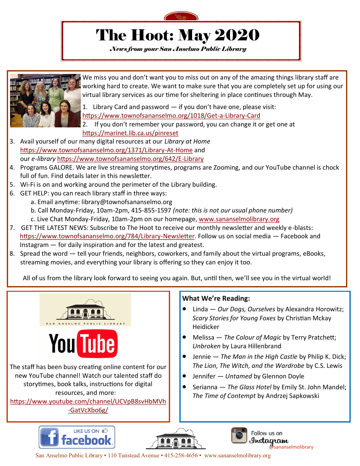

# The Hoot: May 2020

*News from your San Anselmo Public Library*



We miss you and don't want you to miss out on any of the amazing things library staff are working hard to create. We want to make sure that you are completely set up for using our virtual library services as our time for sheltering in place continues through May.

1. Library Card and password — if you don't have one, please visit:

[https://www.townofsananselmo.org/1018/Get](https://www.townofsananselmo.org/1018/Get-a-Library-Card)-a-Library-Card

2. If you don't remember your password, you can change it or get one at <https://marinet.lib.ca.us/pinreset>

- 3. Avail yourself of our many digital resources at our *Library at Home*  [https://www.townofsananselmo.org/1371/Library](https://www.townofsananselmo.org/1371/Library-At-Home)-At-Home and our *e-library* [https://www.townofsananselmo.org/642/E](https://www.townofsananselmo.org/642/E-Library)-Library
- 4. Programs GALORE. We are live streaming storytimes, programs are Zooming, and our YouTube channel is chock full of fun. Find details later in this newsletter.
- 5. Wi-Fi is on and working around the perimeter of the Library building.
- 6. GET HELP: you can reach library staff in three ways:
	- a. Email anytime: library@townofsananselmo.org
		- b. Call Monday-Friday, 10am-2pm, 415-855-1597 *(note: this is not our usual phone number)*
		- c. Live Chat Monday-Friday, 10am-2pm on our homepage, [www.sananselmolibrary.org](https://www.townofsananselmo.org/133/Library)
- 7. GET THE LATEST NEWS: Subscribe to The Hoot to receive our monthly newsletter and weekly e-blasts: [https://www.townofsananselmo.org/784/Library](https://www.townofsananselmo.org/784/Library-Newsletter)-Newsletter. Follow us on social media — Facebook and Instagram — for daily inspiration and for the latest and greatest.
- 8. Spread the word tell your friends, neighbors, coworkers, and family about the virtual programs, eBooks, streaming movies, and everything your library is offering so they can enjoy it too.

All of us from the library look forward to seeing you again. But, until then, we'll see you in the virtual world!



#### **What We're Reading:**

- Linda *Our Dogs, Ourselves* by Alexandra Horowitz; *Scary Stories for Young Foxes* by Christian Mckay Heidicker
- Melissa *The Colour of Magic* by Terry Pratchett; *Unbroken* by Laura Hillenbrand
- Jennie *The Man in the High Castle* by Philip K. Dick; *The Lion, The Witch, and the Wardrobe* by C.S. Lewis
- Jennifer *Untamed* by Glennon Doyle
- Serianna *The Glass Hotel* by Emily St. John Mandel; *The Time of Contempt* by Andrzej Sapkowski